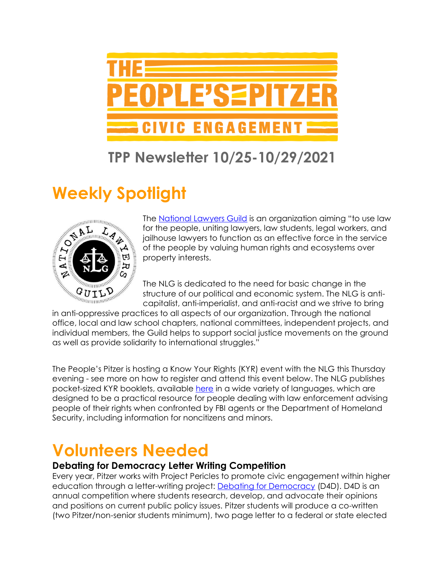

### **TPP Newsletter 10/25-10/29/2021**

# **Weekly Spotlight**



The [National Lawyers Guild](https://www.nlg.org/) is an organization aiming "to use law for the people, uniting lawyers, law students, legal workers, and jailhouse lawyers to function as an effective force in the service of the people by valuing human rights and ecosystems over property interests.

The NLG is dedicated to the need for basic change in the structure of our political and economic system. The NLG is anticapitalist, anti-imperialist, and anti-racist and we strive to bring

 $\begin{array}{c}\n\mathbf{a} \\
\mathbf{b} \\
\mathbf{c} \\
\mathbf{d} \\
\mathbf{e}\n\end{array}$   $\begin{array}{c}\n\mathbf{a} \\
\mathbf{b} \\
\mathbf{c} \\
\mathbf{d} \\
\mathbf{e}\n\end{array}$   $\begin{array}{c}\n\mathbf{b} \\
\mathbf{c} \\
\mathbf{d} \\
\mathbf{e}\n\end{array}$ The NLG is dedicated to the need for basic change ...<br>  $\begin{array}{c}\n\mathbf{a} \\
\mathbf{$ office, local and law school chapters, national committees, independent projects, and individual members, the Guild helps to support social justice movements on the ground as well as provide solidarity to international struggles."

The People's Pitzer is hosting a Know Your Rights (KYR) event with the NLG this Thursday evening - see more on how to register and attend this event below. The NLG publishes pocket-sized KYR booklets, available [here](https://www.nlg.org/know-your-rights/) in a wide variety of languages, which are designed to be a practical resource for people dealing with law enforcement advising people of their rights when confronted by FBI agents or the Department of Homeland Security, including information for noncitizens and minors.

## **Volunteers Needed**

#### **Debating for Democracy Letter Writing Competition**

Every year, Pitzer works with Project Pericles to promote civic engagement within higher education through a letter-writing project: **[Debating for Democracy](https://www.projectpericles.org/debating-for-democracy-d4d.html)** (D4D). D4D is an annual competition where students research, develop, and advocate their opinions and positions on current public policy issues. Pitzer students will produce a co-written (two Pitzer/non-senior students minimum), two page letter to a federal or state elected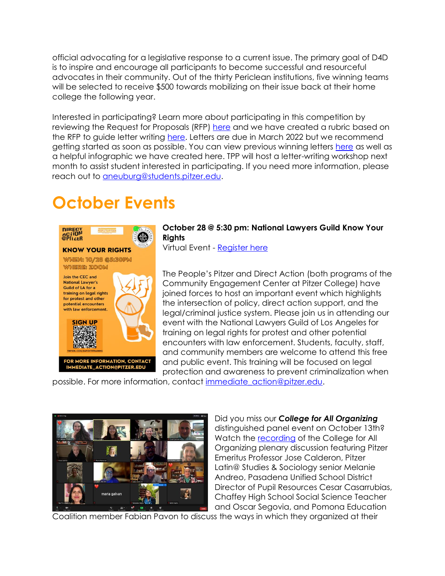official advocating for a legislative response to a current issue. The primary goal of D4D is to inspire and encourage all participants to become successful and resourceful advocates in their community. Out of the thirty Periclean institutions, five winning teams will be selected to receive \$500 towards mobilizing on their issue back at their home college the following year.

Interested in participating? Learn more about participating in this competition by reviewing the Request for Proposals (RFP) [here](https://drive.google.com/file/d/1l-2bH00Sbyn9_FxA-j7HVGQgs8Zd2w0S/view?usp=sharing) and we have created a rubric based on the RFP to guide letter writing [here.](https://drive.google.com/drive/u/1/folders/1Mra8zjcQ3qfLdgs1VEx9o7WKGUZn29I8) Letters are due in March 2022 but we recommend getting started as soon as possible. You can view previous winning letters [here](https://drive.google.com/drive/u/1/folders/18tiBphFq-Lrhr2OoR77evntyGY8dxgfY) as well as a helpful infographic we have created here. TPP will host a letter-writing workshop next month to assist student interested in participating. If you need more information, please reach out to [aneuburg@students.pitzer.edu.](mailto:aneuburg@students.pitzer.edu)

# **October Events**



#### **October 28 @ 5:30 pm: National Lawyers Guild Know Your Rights**

Virtual Event - [Register here](https://pitzer.zoom.us/meeting/register/tZctduCrqz4sHtFmdOGGynkBQnbO9-U6R3rZ)

The People's Pitzer and Direct Action (both programs of the Community Engagement Center at Pitzer College) have joined forces to host an important event which highlights the intersection of policy, direct action support, and the legal/criminal justice system. Please join us in attending our event with the National Lawyers Guild of Los Angeles for training on legal rights for protest and other potential encounters with law enforcement. Students, faculty, staff, and community members are welcome to attend this free and public event. This training will be focused on legal protection and awareness to prevent criminalization when

possible. For more information, contact [immediate\\_action@pitzer.edu.](mailto:immediate_action@pitzer.edu)



Did you miss our *College for All Organizing*  distinguished panel event on October 13th? Watch the [recording](https://youtu.be/l1gOV8QKwfQ) of the College for All Organizing plenary discussion featuring Pitzer Emeritus Professor Jose Calderon, Pitzer Latin@ Studies & Sociology senior Melanie Andreo, Pasadena Unified School District Director of Pupil Resources Cesar Casarrubias, Chaffey High School Social Science Teacher and Oscar Segovia, and Pomona Education

Coalition member Fabian Pavon to discuss the ways in which they organized at their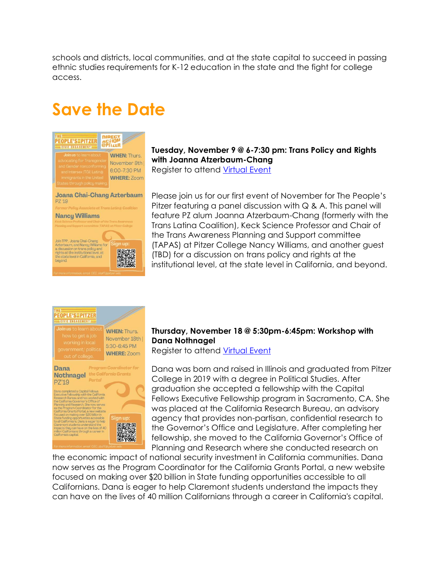schools and districts, local communities, and at the state capital to succeed in passing ethnic studies requirements for K-12 education in the state and the fight for college access.

## **Save the Date**



### **Tuesday, November 9 @ 6-7:30 pm: Trans Policy and Rights with Joanna Atzerbaum-Chang**

Register to attend [Virtual Event](https://pitzer.zoom.us/meeting/register/tZMpcOqqpjkqGNOQfZbI4OpPLnVfXtwN2yiX)

Please join us for our first event of November for The People's Pitzer featuring a panel discussion with  $Q$  & A. This panel will feature PZ alum Joanna Atzerbaum-Chang (formerly with the Trans Latina Coalition), Keck Science Professor and Chair of the Trans Awareness Planning and Support committee (TAPAS) at Pitzer College Nancy Williams, and another guest (TBD) for a discussion on trans policy and rights at the institutional level, at the state level in California, and beyond.



#### **Thursday, November 18 @ 5:30pm-6:45pm: Workshop with Dana Nothnagel**

Register to attend [Virtual Event](https://pitzer.zoom.us/meeting/register/tZ0qduyprTIiG92rooA7fQbXoUUFmreBoidw)

Dana was born and raised in Illinois and graduated from Pitzer College in 2019 with a degree in Political Studies. After graduation she accepted a fellowship with the Capital Fellows Executive Fellowship program in Sacramento, CA. She was placed at the California Research Bureau, an advisory agency that provides non-partisan, confidential research to the Governor's Office and Legislature. After completing her fellowship, she moved to the California Governor's Office of Planning and Research where she conducted research on

the economic impact of national security investment in California communities. Dana now serves as the Program Coordinator for the California Grants Portal, a new website focused on making over \$20 billion in State funding opportunities accessible to all Californians. Dana is eager to help Claremont students understand the impacts they can have on the lives of 40 million Californians through a career in California's capital.